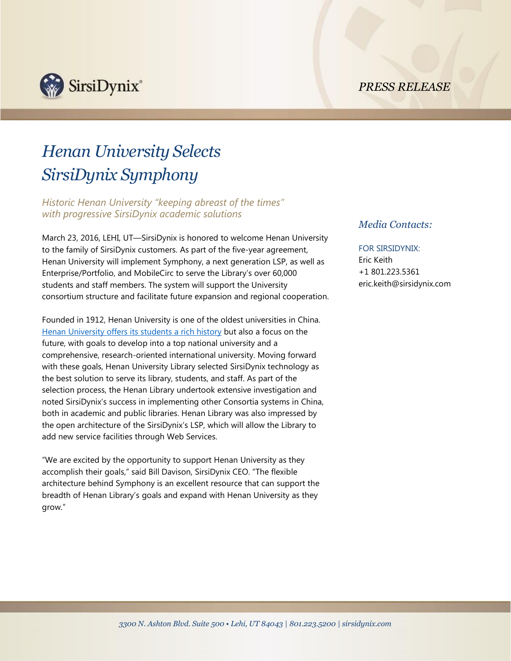*PRESS RELEASE*



# *Henan University Selects SirsiDynix Symphony*

*Historic Henan University "keeping abreast of the times" with progressive SirsiDynix academic solutions*

March 23, 2016, LEHI, UT—SirsiDynix is honored to welcome Henan University to the family of SirsiDynix customers. As part of the five-year agreement, Henan University will implement Symphony, a next generation LSP, as well as Enterprise/Portfolio, and MobileCirc to serve the Library's over 60,000 students and staff members. The system will support the University consortium structure and facilitate future expansion and regional cooperation.

Founded in 1912, Henan University is one of the oldest universities in China. Henan University [offers its students a rich history](http://en.henu.edu.cn/html/AboutfhHenu/History/1.html) but also a focus on the future, with goals to develop into a top national university and a comprehensive, research-oriented international university. Moving forward with these goals, Henan University Library selected SirsiDynix technology as the best solution to serve its library, students, and staff. As part of the selection process, the Henan Library undertook extensive investigation and noted SirsiDynix's success in implementing other Consortia systems in China, both in academic and public libraries. Henan Library was also impressed by the open architecture of the SirsiDynix's LSP, which will allow the Library to add new service facilities through Web Services.

"We are excited by the opportunity to support Henan University as they accomplish their goals," said Bill Davison, SirsiDynix CEO. "The flexible architecture behind Symphony is an excellent resource that can support the breadth of Henan Library's goals and expand with Henan University as they grow."

## *Media Contacts:*

## FOR SIRSIDYNIX:

Eric Keith +1 801.223.5361 eric.keith@sirsidynix.com